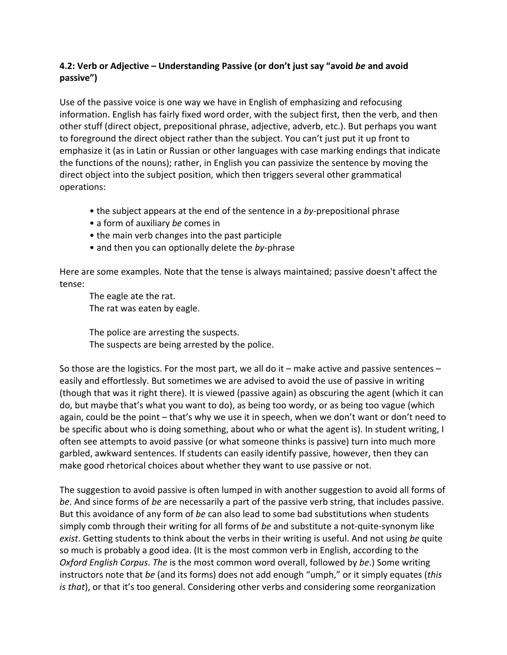## 4.2: Verb or Adjective – Understanding Passive (or don't just say "avoid be and avoid passive")

Use of the passive voice is one way we have in English of emphasizing and refocusing information. English has fairly fixed word order, with the subject first, then the verb, and then other stuff (direct object, prepositional phrase, adjective, adverb, etc.). But perhaps you want to foreground the direct object rather than the subject. You can't just put it up front to emphasize it (as in Latin or Russian or other languages with case marking endings that indicate the functions of the nouns); rather, in English you can passivize the sentence by moving the direct object into the subject position, which then triggers several other grammatical operations:

- the subject appears at the end of the sentence in a by-prepositional phrase
- a form of auxiliary be comes in
- the main verb changes into the past participle
- and then you can optionally delete the by-phrase

Here are some examples. Note that the tense is always maintained; passive doesn't affect the tense:

The eagle ate the rat. The rat was eaten by eagle.

The police are arresting the suspects. The suspects are being arrested by the police.

So those are the logistics. For the most part, we all do it  $-$  make active and passive sentences  $$ easily and effortlessly. But sometimes we are advised to avoid the use of passive in writing (though that was it right there). It is viewed (passive again) as obscuring the agent (which it can do, but maybe that's what you want to do), as being too wordy, or as being too vague (which again, could be the point – that's why we use it in speech, when we don't want or don't need to be specific about who is doing something, about who or what the agent is). In student writing, I often see attempts to avoid passive (or what someone thinks is passive) turn into much more garbled, awkward sentences. If students can easily identify passive, however, then they can make good rhetorical choices about whether they want to use passive or not.

The suggestion to avoid passive is often lumped in with another suggestion to avoid all forms of be. And since forms of be are necessarily a part of the passive verb string, that includes passive. But this avoidance of any form of be can also lead to some bad substitutions when students simply comb through their writing for all forms of be and substitute a not-quite-synonym like exist. Getting students to think about the verbs in their writing is useful. And not using be quite so much is probably a good idea. (It is the most common verb in English, according to the Oxford English Corpus. The is the most common word overall, followed by be.) Some writing instructors note that be (and its forms) does not add enough "umph," or it simply equates (this is that), or that it's too general. Considering other verbs and considering some reorganization